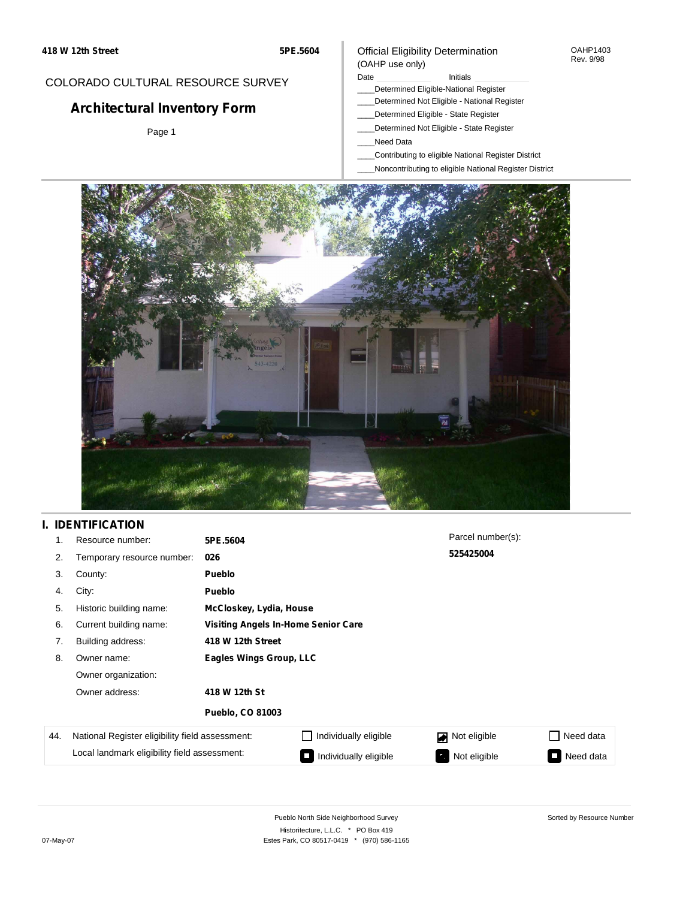### Official Eligibility Determination (OAHP use only)

#### OAHP1403 Rev. 9/98

## COLORADO CULTURAL RESOURCE SURVEY

# **Architectural Inventory Form**

Page 1

#### Date **Initials** Initials

- \_\_\_\_Determined Eligible-National Register
- \_\_\_\_Determined Not Eligible National Register
- \_\_\_\_Determined Eligible State Register
- \_\_\_\_Determined Not Eligible State Register
- \_\_\_\_Need Data
- \_\_\_\_Contributing to eligible National Register District
- \_\_\_\_Noncontributing to eligible National Register District



## **I. IDENTIFICATION**

| 1.  | Resource number:                                | 5PE.5604                | Parcel number(s):                          |                    |                            |  |  |  |  |
|-----|-------------------------------------------------|-------------------------|--------------------------------------------|--------------------|----------------------------|--|--|--|--|
| 2.  | Temporary resource number:                      | 026                     |                                            | 525425004          |                            |  |  |  |  |
| 3.  | County:                                         | <b>Pueblo</b>           |                                            |                    |                            |  |  |  |  |
| 4.  | City:                                           | <b>Pueblo</b>           |                                            |                    |                            |  |  |  |  |
| 5.  | Historic building name:                         |                         | McCloskey, Lydia, House                    |                    |                            |  |  |  |  |
| 6.  | Current building name:                          |                         | <b>Visiting Angels In-Home Senior Care</b> |                    |                            |  |  |  |  |
| 7.  | Building address:                               | 418 W 12th Street       |                                            |                    |                            |  |  |  |  |
| 8.  | Owner name:                                     | Eagles Wings Group, LLC |                                            |                    |                            |  |  |  |  |
|     | Owner organization:                             |                         |                                            |                    |                            |  |  |  |  |
|     | Owner address:                                  | 418 W 12th St           |                                            |                    |                            |  |  |  |  |
|     |                                                 | <b>Pueblo, CO 81003</b> |                                            |                    |                            |  |  |  |  |
| 44. | National Register eligibility field assessment: |                         | Individually eligible                      | Not eligible       | Need data                  |  |  |  |  |
|     | Local landmark eligibility field assessment:    |                         | Individually eligible                      | Not eligible<br>7, | Need data<br>$\mathcal{L}$ |  |  |  |  |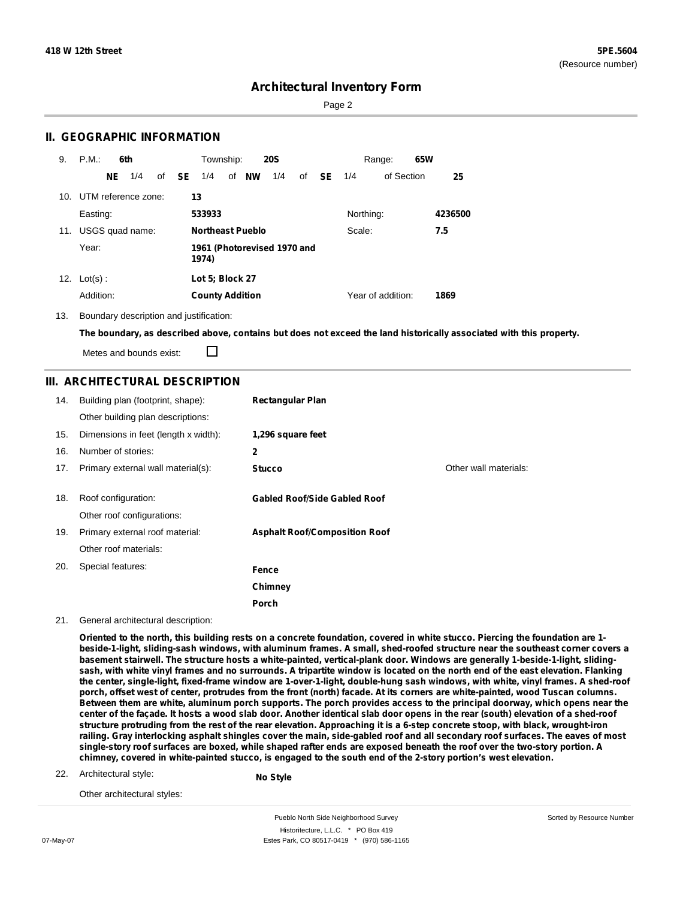Sorted by Resource Number

## **Architectural Inventory Form**

Page 2

### **II. GEOGRAPHIC INFORMATION**

| 9.  | P.M.                    |    | 6th             |              | Township:              |                         | <b>20S</b>                  |    |           |           | Range:            | 65W |         |
|-----|-------------------------|----|-----------------|--------------|------------------------|-------------------------|-----------------------------|----|-----------|-----------|-------------------|-----|---------|
|     |                         | NE | 1/4             | of <b>SE</b> | 1/4                    | of NW                   | 1/4                         | of | <b>SE</b> | 1/4       | of Section        |     | 25      |
|     | 10. UTM reference zone: |    |                 |              | 13                     |                         |                             |    |           |           |                   |     |         |
|     | Easting:                |    |                 |              | 533933                 |                         |                             |    |           | Northing: |                   |     | 4236500 |
| 11. |                         |    | USGS quad name: |              |                        | <b>Northeast Pueblo</b> |                             |    |           | Scale:    |                   |     | 7.5     |
|     | Year:                   |    |                 |              | 1974)                  |                         | 1961 (Photorevised 1970 and |    |           |           |                   |     |         |
| 12. | $Lot(s)$ :              |    |                 |              | Lot 5; Block 27        |                         |                             |    |           |           |                   |     |         |
|     | Addition:               |    |                 |              | <b>County Addition</b> |                         |                             |    |           |           | Year of addition: |     | 1869    |

13. Boundary description and justification:

The boundary, as described above, contains but does not exceed the land historically associated with this property.

Metes and bounds exist:

П

### **III. ARCHITECTURAL DESCRIPTION**

| 14. | Building plan (footprint, shape):<br>Other building plan descriptions: | <b>Rectangular Plan</b>              |                       |
|-----|------------------------------------------------------------------------|--------------------------------------|-----------------------|
| 15. | Dimensions in feet (length x width):                                   | 1,296 square feet                    |                       |
| 16. | Number of stories:                                                     | $\mathbf{2}$                         |                       |
| 17. | Primary external wall material(s):                                     | <b>Stucco</b>                        | Other wall materials: |
| 18. | Roof configuration:<br>Other roof configurations:                      | <b>Gabled Roof/Side Gabled Roof</b>  |                       |
| 19. | Primary external roof material:                                        | <b>Asphalt Roof/Composition Roof</b> |                       |
|     | Other roof materials:                                                  |                                      |                       |
| 20. | Special features:                                                      | Fence                                |                       |
|     |                                                                        | Chimney                              |                       |
|     |                                                                        | Porch                                |                       |

21. General architectural description:

Oriented to the north, this building rests on a concrete foundation, covered in white stucco. Piercing the foundation are 1beside-1-light, sliding-sash windows, with aluminum frames. A small, shed-roofed structure near the southeast corner covers a basement stairwell. The structure hosts a white-painted, vertical-plank door. Windows are generally 1-beside-1-light, slidingsash, with white vinyl frames and no surrounds. A tripartite window is located on the north end of the east elevation. Flanking the center, single-light, fixed-frame window are 1-over-1-light, double-hung sash windows, with white, vinyl frames. A shed-roof porch, offset west of center, protrudes from the front (north) facade. At its corners are white-painted, wood Tuscan columns. Between them are white, aluminum porch supports. The porch provides access to the principal doorway, which opens near the center of the façade. It hosts a wood slab door. Another identical slab door opens in the rear (south) elevation of a shed-roof structure protruding from the rest of the rear elevation. Approaching it is a 6-step concrete stoop, with black, wrought-iron railing. Gray interlocking asphalt shingles cover the main, side-gabled roof and all secondary roof surfaces. The eaves of most single-story roof surfaces are boxed, while shaped rafter ends are exposed beneath the roof over the two-story portion. A chimney, covered in white-painted stucco, is engaged to the south end of the 2-story portion's west elevation.

22. Architectural style:

**No Style**

Other architectural styles:

Pueblo North Side Neighborhood Survey Historitecture, L.L.C. \* PO Box 419 07-May-07 Estes Park, CO 80517-0419 \* (970) 586-1165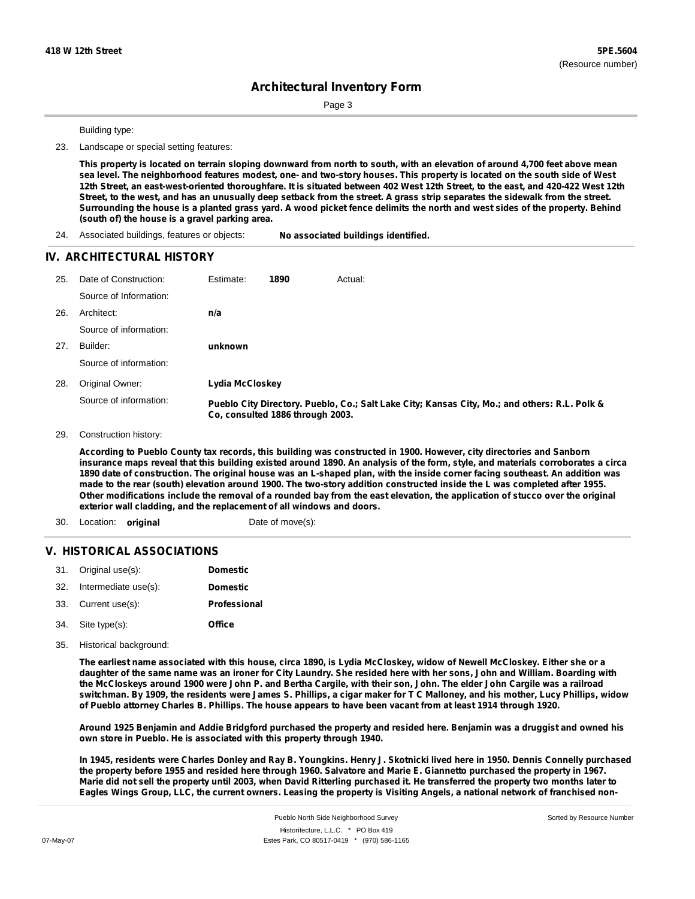Page 3

Building type:

23. Landscape or special setting features:

This property is located on terrain sloping downward from north to south, with an elevation of around 4,700 feet above mean sea level. The neighborhood features modest, one- and two-story houses. This property is located on the south side of West 12th Street, an east-west-oriented thoroughfare. It is situated between 402 West 12th Street, to the east, and 420-422 West 12th Street, to the west, and has an unusually deep setback from the street. A grass strip separates the sidewalk from the street. Surrounding the house is a planted grass yard. A wood picket fence delimits the north and west sides of the property. Behind **(south of) the house is a gravel parking area.**

24. Associated buildings, features or objects: **No associated buildings identified.**

#### **IV. ARCHITECTURAL HISTORY**

| 25. | Date of Construction:  | Estimate:       | 1890                             | Actual:                                                                                       |
|-----|------------------------|-----------------|----------------------------------|-----------------------------------------------------------------------------------------------|
|     | Source of Information: |                 |                                  |                                                                                               |
| 26. | Architect:             | n/a             |                                  |                                                                                               |
|     | Source of information: |                 |                                  |                                                                                               |
| 27. | Builder:               | unknown         |                                  |                                                                                               |
|     | Source of information: |                 |                                  |                                                                                               |
| 28. | Original Owner:        | Lydia McCloskey |                                  |                                                                                               |
|     | Source of information: |                 | Co. consulted 1886 through 2003. | Pueblo City Directory. Pueblo, Co.; Salt Lake City; Kansas City, Mo.; and others: R.L. Polk & |

29. Construction history:

According to Pueblo County tax records, this building was constructed in 1900. However, city directories and Sanborn insurance maps reveal that this building existed around 1890. An analysis of the form, style, and materials corroborates a circa 1890 date of construction. The original house was an L-shaped plan, with the inside corner facing southeast. An addition was made to the rear (south) elevation around 1900. The two-story addition constructed inside the L was completed after 1955. Other modifications include the removal of a rounded bay from the east elevation, the application of stucco over the original **exterior wall cladding, and the replacement of all windows and doors.**

30. Location: **original** Date of move(s):

#### **V. HISTORICAL ASSOCIATIONS**

|     | 31. Original use(s): | <b>Domestic</b> |
|-----|----------------------|-----------------|
| 32. | Intermediate use(s): | <b>Domestic</b> |
|     | 33. Current use(s):  | Professional    |
|     | 34. Site type(s):    | Office          |

35. Historical background:

The earliest name associated with this house, circa 1890, is Lydia McCloskey, widow of Newell McCloskey. Either she or a daughter of the same name was an ironer for City Laundry. She resided here with her sons, John and William. Boarding with the McCloskeys around 1900 were John P. and Bertha Cargile, with their son, John. The elder John Cargile was a railroad switchman. By 1909, the residents were James S. Phillips, a cigar maker for T C Malloney, and his mother, Lucy Phillips, widow of Pueblo attorney Charles B. Phillips. The house appears to have been vacant from at least 1914 through 1920.

Around 1925 Benjamin and Addie Bridgford purchased the property and resided here. Benjamin was a druggist and owned his **own store in Pueblo. He is associated with this property through 1940.**

In 1945, residents were Charles Donley and Ray B. Youngkins. Henry J. Skotnicki lived here in 1950. Dennis Connelly purchased the property before 1955 and resided here through 1960. Salvatore and Marie E. Giannetto purchased the property in 1967. Marie did not sell the property until 2003, when David Ritterling purchased it. He transferred the property two months later to Eagles Wings Group, LLC, the current owners. Leasing the property is Visiting Angels, a national network of franchised non-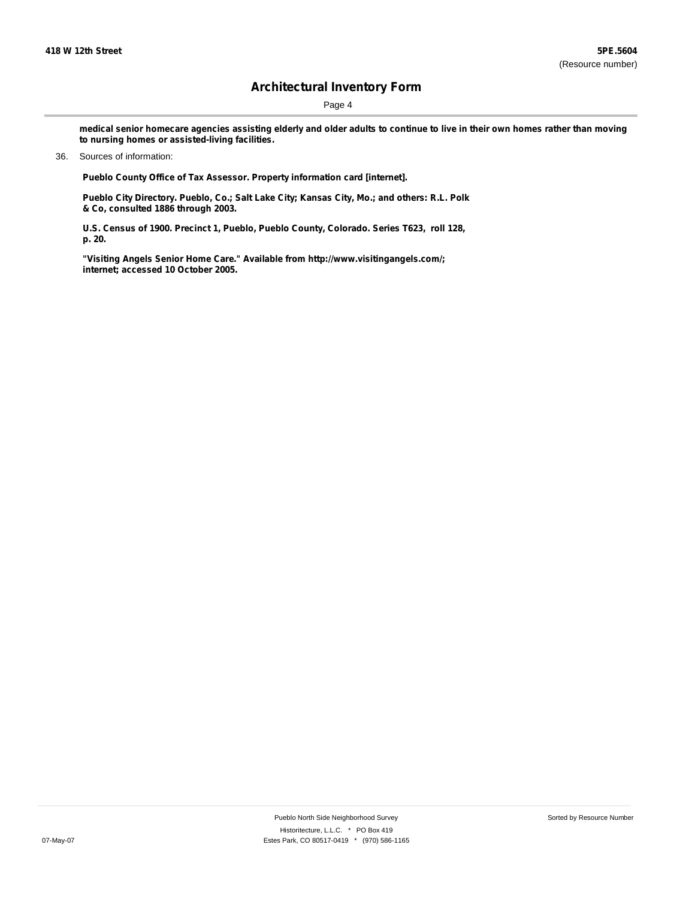Page 4

medical senior homecare agencies assisting elderly and older adults to continue to live in their own homes rather than moving **to nursing homes or assisted-living facilities.**

#### 36. Sources of information:

**Pueblo County Office of Tax Assessor. Property information card [internet].**

**Pueblo City Directory. Pueblo, Co.; Salt Lake City; Kansas City, Mo.; and others: R.L. Polk & Co, consulted 1886 through 2003.**

**U.S. Census of 1900. Precinct 1, Pueblo, Pueblo County, Colorado. Series T623, roll 128, p. 20.**

**"Visiting Angels Senior Home Care." Available from <http://www.visitingangels.com/;> internet; accessed 10 October 2005.**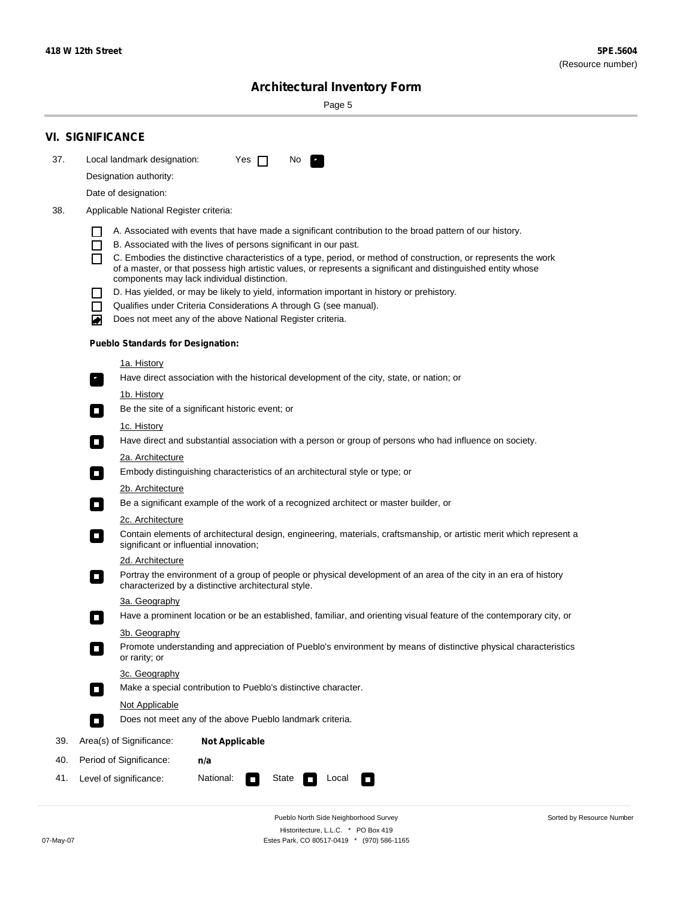Sorted by Resource Number

# **Architectural Inventory Form**

Page 5

|     | <b>VI. SIGNIFICANCE</b>                                                                                                                                                                        |
|-----|------------------------------------------------------------------------------------------------------------------------------------------------------------------------------------------------|
| 37. | Local landmark designation:<br>Yes $\Box$<br>No.<br>HE 2                                                                                                                                       |
|     | Designation authority:                                                                                                                                                                         |
|     | Date of designation:                                                                                                                                                                           |
| 38. | Applicable National Register criteria:                                                                                                                                                         |
|     |                                                                                                                                                                                                |
|     | A. Associated with events that have made a significant contribution to the broad pattern of our history.<br>B. Associated with the lives of persons significant in our past.<br>$\blacksquare$ |
|     | C. Embodies the distinctive characteristics of a type, period, or method of construction, or represents the work<br>П                                                                          |
|     | of a master, or that possess high artistic values, or represents a significant and distinguished entity whose<br>components may lack individual distinction.                                   |
|     | D. Has yielded, or may be likely to yield, information important in history or prehistory.                                                                                                     |
|     | Qualifies under Criteria Considerations A through G (see manual).<br>$\sim$                                                                                                                    |
|     | Does not meet any of the above National Register criteria.<br>₩                                                                                                                                |
|     | <b>Pueblo Standards for Designation:</b>                                                                                                                                                       |
|     | 1a. History                                                                                                                                                                                    |
|     | Have direct association with the historical development of the city, state, or nation; or<br>$\mathbf{r}_\perp$                                                                                |
|     | 1b. History                                                                                                                                                                                    |
|     | Be the site of a significant historic event; or<br>$\blacksquare$                                                                                                                              |
|     | 1c. History                                                                                                                                                                                    |
|     | Have direct and substantial association with a person or group of persons who had influence on society.<br>$\overline{\phantom{a}}$                                                            |
|     | 2a. Architecture                                                                                                                                                                               |
|     | Embody distinguishing characteristics of an architectural style or type; or<br>$\mathcal{L}_{\mathcal{A}}$                                                                                     |
|     | <u>2b. Architecture</u>                                                                                                                                                                        |
|     | Be a significant example of the work of a recognized architect or master builder, or<br>$\Box$                                                                                                 |
|     | 2c. Architecture                                                                                                                                                                               |
|     | Contain elements of architectural design, engineering, materials, craftsmanship, or artistic merit which represent a<br>$\Box$<br>significant or influential innovation;                       |
|     | 2d. Architecture                                                                                                                                                                               |
|     | Portray the environment of a group of people or physical development of an area of the city in an era of history<br>$\Box$<br>characterized by a distinctive architectural style.              |
|     | 3a. Geography                                                                                                                                                                                  |
|     | Have a prominent location or be an established, familiar, and orienting visual feature of the contemporary city, or                                                                            |
|     | 3b. Geography                                                                                                                                                                                  |
|     | Promote understanding and appreciation of Pueblo's environment by means of distinctive physical characteristics<br>or rarity; or                                                               |
|     | 3c. Geography                                                                                                                                                                                  |
|     | Make a special contribution to Pueblo's distinctive character.<br>$\Box$                                                                                                                       |
|     | <b>Not Applicable</b>                                                                                                                                                                          |
|     | Does not meet any of the above Pueblo landmark criteria.<br>$\overline{\phantom{a}}$                                                                                                           |
| 39. | Area(s) of Significance:<br><b>Not Applicable</b>                                                                                                                                              |
| 40. | Period of Significance:<br>n/a                                                                                                                                                                 |
| 41. | National:<br>Level of significance:<br>State<br>Local<br>$\sim$<br>□                                                                                                                           |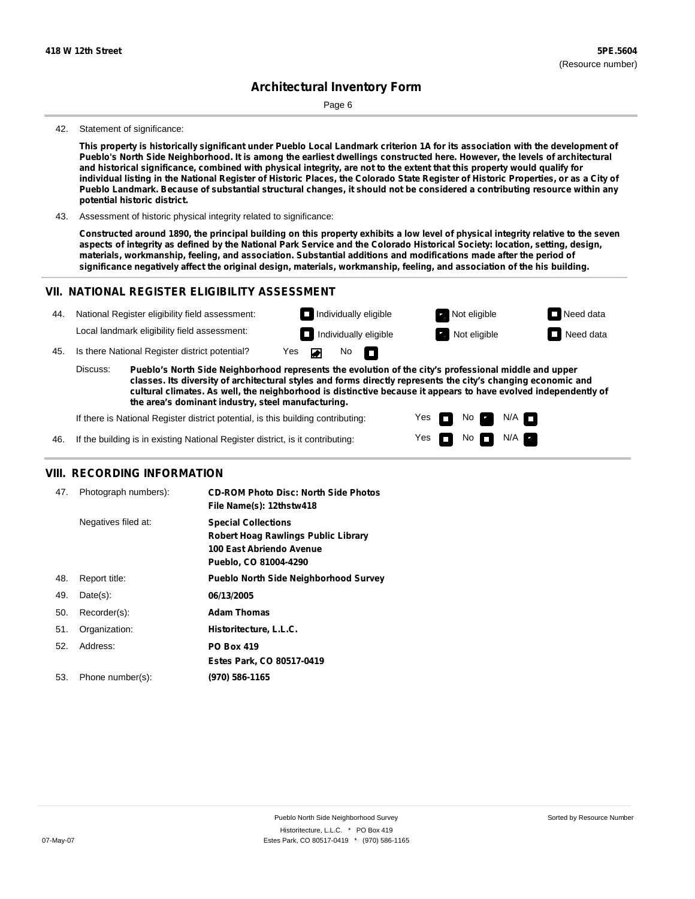Page 6

#### 42. Statement of significance:

This property is historically significant under Pueblo Local Landmark criterion 1A for its association with the development of Pueblo's North Side Neighborhood. It is among the earliest dwellings constructed here. However, the levels of architectural and historical significance, combined with physical integrity, are not to the extent that this property would qualify for individual listing in the National Register of Historic Places, the Colorado State Register of Historic Properties, or as a City of Pueblo Landmark. Because of substantial structural changes, it should not be considered a contributing resource within any **potential historic district.**

43. Assessment of historic physical integrity related to significance:

Constructed around 1890, the principal building on this property exhibits a low level of physical integrity relative to the seven aspects of integrity as defined by the National Park Service and the Colorado Historical Society: location, setting, design, **materials, workmanship, feeling, and association. Substantial additions and modifications made after the period of** significance negatively affect the original design, materials, workmanship, feeling, and association of the his building.

#### **VII. NATIONAL REGISTER ELIGIBILITY ASSESSMENT**

| 44. |                                                                                                                                                                                                                                                                                                                                                                                                             | National Register eligibility field assessment: |  |                          | $\Box$ Individually eligible |  | Not eligible | $\Box$ Need data |
|-----|-------------------------------------------------------------------------------------------------------------------------------------------------------------------------------------------------------------------------------------------------------------------------------------------------------------------------------------------------------------------------------------------------------------|-------------------------------------------------|--|--------------------------|------------------------------|--|--------------|------------------|
|     |                                                                                                                                                                                                                                                                                                                                                                                                             | Local landmark eligibility field assessment:    |  |                          | Individually eligible        |  | Not eligible | Need data        |
| 45. | Is there National Register district potential?                                                                                                                                                                                                                                                                                                                                                              |                                                 |  | No $\blacksquare$<br>Yes |                              |  |              |                  |
|     | Discuss:<br>Pueblo's North Side Neighborhood represents the evolution of the city's professional middle and upper<br>classes. Its diversity of architectural styles and forms directly represents the city's changing economic and<br>cultural climates. As well, the neighborhood is distinctive because it appears to have evolved independently of<br>the area's dominant industry, steel manufacturing. |                                                 |  |                          |                              |  |              |                  |

Yes Yes

No

N/A N/A

If there is National Register district potential, is this building contributing:

46. If the building is in existing National Register district, is it contributing:

#### **VIII. RECORDING INFORMATION**

| 47. | Photograph numbers): | <b>CD-ROM Photo Disc: North Side Photos</b><br>File Name(s): 12thstw418                                                       |
|-----|----------------------|-------------------------------------------------------------------------------------------------------------------------------|
|     | Negatives filed at:  | <b>Special Collections</b><br><b>Robert Hoag Rawlings Public Library</b><br>100 East Abriendo Avenue<br>Pueblo, CO 81004-4290 |
| 48. | Report title:        | <b>Pueblo North Side Neighborhood Survey</b>                                                                                  |
| 49. | $Date(s)$ :          | 06/13/2005                                                                                                                    |
| 50. | Recorder(s):         | <b>Adam Thomas</b>                                                                                                            |
| 51. | Organization:        | Historitecture, L.L.C.                                                                                                        |
| 52. | Address:             | <b>PO Box 419</b>                                                                                                             |
|     |                      | Estes Park, CO 80517-0419                                                                                                     |
| 53. | Phone number(s):     | (970) 586-1165                                                                                                                |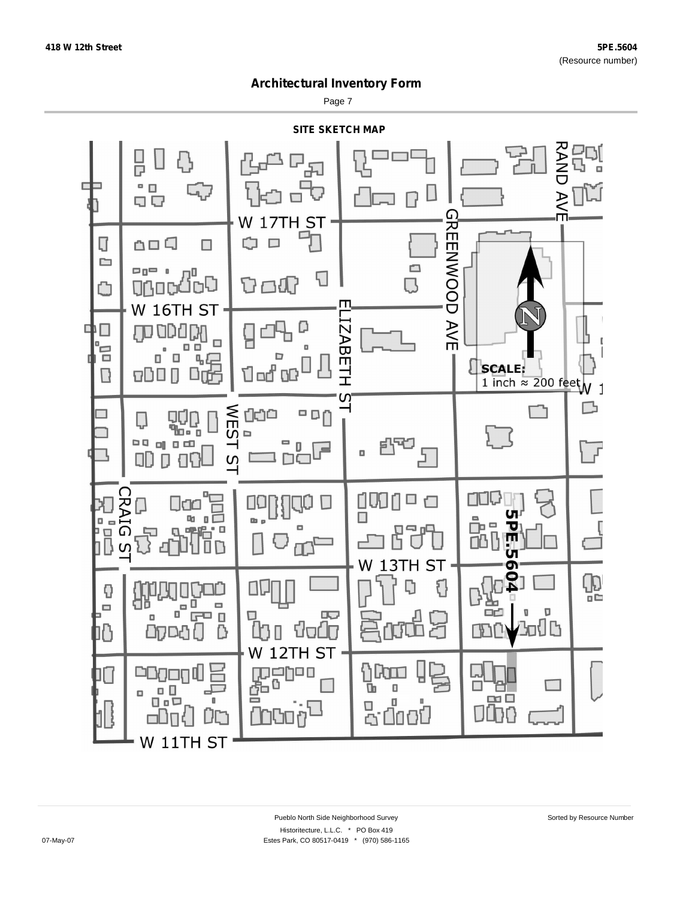Page 7